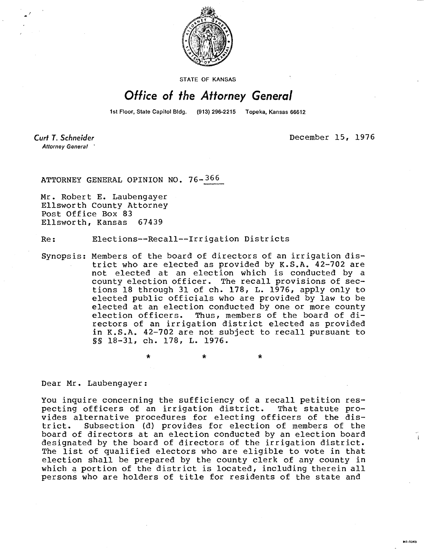

**STATE OF KANSAS** 

## Office of the Attorney General

1st Floor, State Capitol Bldg. (913) 296-2215 Topeka, Kansas 66612

Curt T. Schneider **Attorney General** 

December 15, 1976

**Mi-1043** 

ATTORNEY GENERAL OPINION NO. 76- 366

Mr. Robert E. Laubengayer Ellsworth County Attorney Post Office Box 83 Ellsworth, Kansas 67439

Re: Elections--Recall--Irrigation Districts

Synopsis: Members of the board of directors of an irrigation district who are elected as provided by K.S.A. 42-702 are not elected at an election which is conducted by a county election officer. The recall provisions of sections 18 through 31 of ch. 178, L. 1976, apply only to elected public officials who are provided by law to be elected at an election conducted by one or more county election officers. Thus, members of the board of directors of an irrigation district elected as provided in K.S.A. 42-702 are not subject to recall pursuant to §§ 18-31, ch. 178, L. 1976.

 $\star$ 

\*

Dear Mr. Laubengayer:

You inquire concerning the sufficiency of a recall petition res-<br>pecting officers of an irrigation district. That statute propecting officers of an irrigation district. vides alternative procedures for electing officers of the district. Subsection (d) provides for election of members of the board of directors at an election conducted by an election board designated by the board of directors of the irrigation district. The list of qualified electors who are eligible to vote in that election shall be prepared by the county clerk of any county in which a portion of the district is located, including therein all persons who are holders of title for residents of the state and